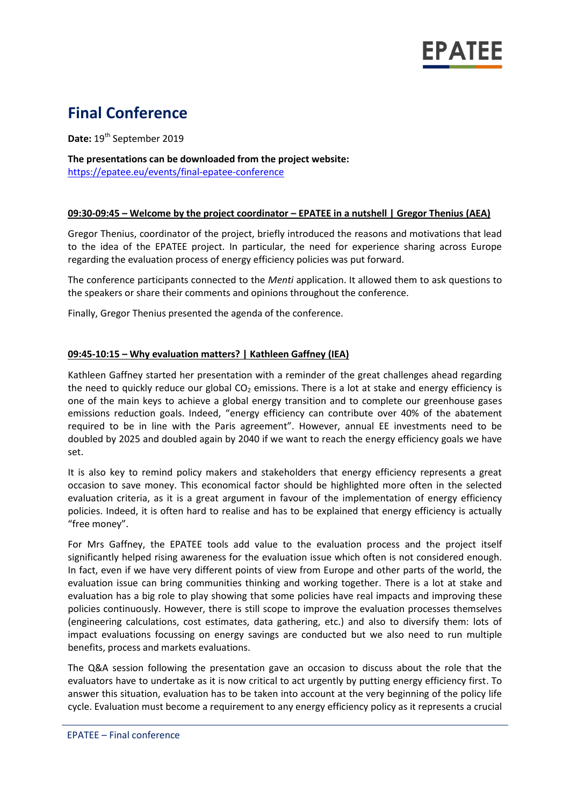

# **Final Conference**

**Date:** 19<sup>th</sup> September 2019

**The presentations can be downloaded from the project website:** <https://epatee.eu/events/final-epatee-conference>

### **09:30-09:45 – Welcome by the project coordinator – EPATEE in a nutshell | Gregor Thenius (AEA)**

Gregor Thenius, coordinator of the project, briefly introduced the reasons and motivations that lead to the idea of the EPATEE project. In particular, the need for experience sharing across Europe regarding the evaluation process of energy efficiency policies was put forward.

The conference participants connected to the *Menti* application. It allowed them to ask questions to the speakers or share their comments and opinions throughout the conference.

Finally, Gregor Thenius presented the agenda of the conference.

### **09:45-10:15 – Why evaluation matters? | Kathleen Gaffney (IEA)**

Kathleen Gaffney started her presentation with a reminder of the great challenges ahead regarding the need to quickly reduce our global  $CO<sub>2</sub>$  emissions. There is a lot at stake and energy efficiency is one of the main keys to achieve a global energy transition and to complete our greenhouse gases emissions reduction goals. Indeed, "energy efficiency can contribute over 40% of the abatement required to be in line with the Paris agreement". However, annual EE investments need to be doubled by 2025 and doubled again by 2040 if we want to reach the energy efficiency goals we have set.

It is also key to remind policy makers and stakeholders that energy efficiency represents a great occasion to save money. This economical factor should be highlighted more often in the selected evaluation criteria, as it is a great argument in favour of the implementation of energy efficiency policies. Indeed, it is often hard to realise and has to be explained that energy efficiency is actually "free money".

For Mrs Gaffney, the EPATEE tools add value to the evaluation process and the project itself significantly helped rising awareness for the evaluation issue which often is not considered enough. In fact, even if we have very different points of view from Europe and other parts of the world, the evaluation issue can bring communities thinking and working together. There is a lot at stake and evaluation has a big role to play showing that some policies have real impacts and improving these policies continuously. However, there is still scope to improve the evaluation processes themselves (engineering calculations, cost estimates, data gathering, etc.) and also to diversify them: lots of impact evaluations focussing on energy savings are conducted but we also need to run multiple benefits, process and markets evaluations.

The Q&A session following the presentation gave an occasion to discuss about the role that the evaluators have to undertake as it is now critical to act urgently by putting energy efficiency first. To answer this situation, evaluation has to be taken into account at the very beginning of the policy life cycle. Evaluation must become a requirement to any energy efficiency policy as it represents a crucial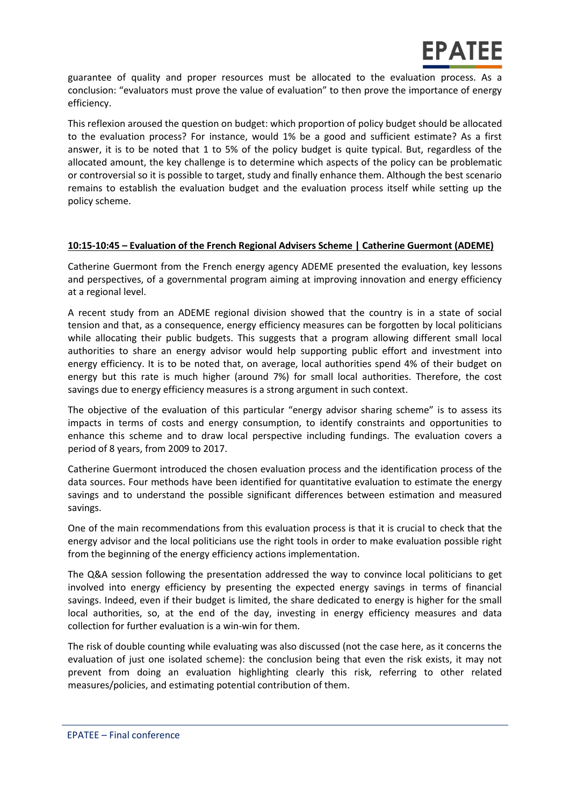guarantee of quality and proper resources must be allocated to the evaluation process. As a conclusion: "evaluators must prove the value of evaluation" to then prove the importance of energy efficiency.

This reflexion aroused the question on budget: which proportion of policy budget should be allocated to the evaluation process? For instance, would 1% be a good and sufficient estimate? As a first answer, it is to be noted that 1 to 5% of the policy budget is quite typical. But, regardless of the allocated amount, the key challenge is to determine which aspects of the policy can be problematic or controversial so it is possible to target, study and finally enhance them. Although the best scenario remains to establish the evaluation budget and the evaluation process itself while setting up the policy scheme.

## **10:15-10:45 – Evaluation of the French Regional Advisers Scheme | Catherine Guermont (ADEME)**

Catherine Guermont from the French energy agency ADEME presented the evaluation, key lessons and perspectives, of a governmental program aiming at improving innovation and energy efficiency at a regional level.

A recent study from an ADEME regional division showed that the country is in a state of social tension and that, as a consequence, energy efficiency measures can be forgotten by local politicians while allocating their public budgets. This suggests that a program allowing different small local authorities to share an energy advisor would help supporting public effort and investment into energy efficiency. It is to be noted that, on average, local authorities spend 4% of their budget on energy but this rate is much higher (around 7%) for small local authorities. Therefore, the cost savings due to energy efficiency measures is a strong argument in such context.

The objective of the evaluation of this particular "energy advisor sharing scheme" is to assess its impacts in terms of costs and energy consumption, to identify constraints and opportunities to enhance this scheme and to draw local perspective including fundings. The evaluation covers a period of 8 years, from 2009 to 2017.

Catherine Guermont introduced the chosen evaluation process and the identification process of the data sources. Four methods have been identified for quantitative evaluation to estimate the energy savings and to understand the possible significant differences between estimation and measured savings.

One of the main recommendations from this evaluation process is that it is crucial to check that the energy advisor and the local politicians use the right tools in order to make evaluation possible right from the beginning of the energy efficiency actions implementation.

The Q&A session following the presentation addressed the way to convince local politicians to get involved into energy efficiency by presenting the expected energy savings in terms of financial savings. Indeed, even if their budget is limited, the share dedicated to energy is higher for the small local authorities, so, at the end of the day, investing in energy efficiency measures and data collection for further evaluation is a win-win for them.

The risk of double counting while evaluating was also discussed (not the case here, as it concerns the evaluation of just one isolated scheme): the conclusion being that even the risk exists, it may not prevent from doing an evaluation highlighting clearly this risk, referring to other related measures/policies, and estimating potential contribution of them.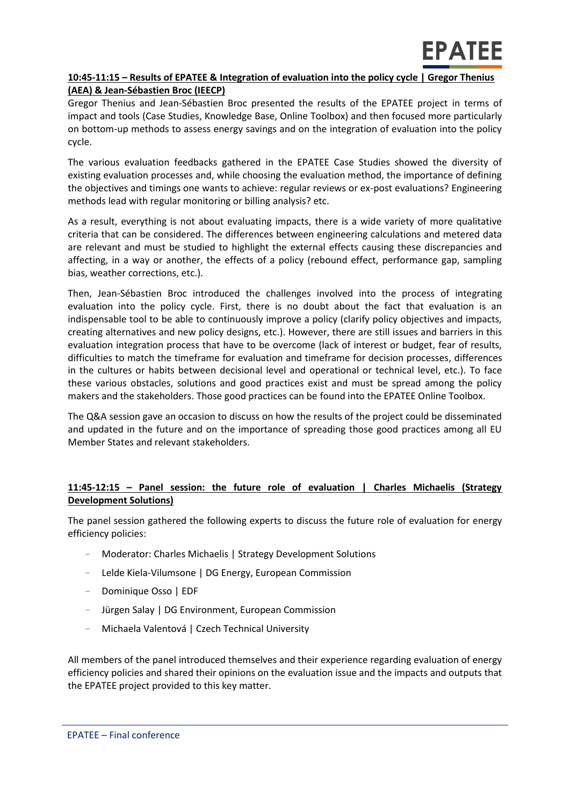# **10:45-11:15 – Results of EPATEE & Integration of evaluation into the policy cycle | Gregor Thenius (AEA) & Jean-Sébastien Broc (IEECP)**

Gregor Thenius and Jean-Sébastien Broc presented the results of the EPATEE project in terms of impact and tools (Case Studies, Knowledge Base, Online Toolbox) and then focused more particularly on bottom-up methods to assess energy savings and on the integration of evaluation into the policy cycle.

The various evaluation feedbacks gathered in the EPATEE Case Studies showed the diversity of existing evaluation processes and, while choosing the evaluation method, the importance of defining the objectives and timings one wants to achieve: regular reviews or ex-post evaluations? Engineering methods lead with regular monitoring or billing analysis? etc.

As a result, everything is not about evaluating impacts, there is a wide variety of more qualitative criteria that can be considered. The differences between engineering calculations and metered data are relevant and must be studied to highlight the external effects causing these discrepancies and affecting, in a way or another, the effects of a policy (rebound effect, performance gap, sampling bias, weather corrections, etc.).

Then, Jean-Sébastien Broc introduced the challenges involved into the process of integrating evaluation into the policy cycle. First, there is no doubt about the fact that evaluation is an indispensable tool to be able to continuously improve a policy (clarify policy objectives and impacts, creating alternatives and new policy designs, etc.). However, there are still issues and barriers in this evaluation integration process that have to be overcome (lack of interest or budget, fear of results, difficulties to match the timeframe for evaluation and timeframe for decision processes, differences in the cultures or habits between decisional level and operational or technical level, etc.). To face these various obstacles, solutions and good practices exist and must be spread among the policy makers and the stakeholders. Those good practices can be found into the EPATEE Online Toolbox.

The Q&A session gave an occasion to discuss on how the results of the project could be disseminated and updated in the future and on the importance of spreading those good practices among all EU Member States and relevant stakeholders.

# **11:45-12:15 – Panel session: the future role of evaluation | Charles Michaelis (Strategy Development Solutions)**

The panel session gathered the following experts to discuss the future role of evaluation for energy efficiency policies:

- Moderator: Charles Michaelis | Strategy Development Solutions
- Lelde Kiela-Vilumsone | DG Energy, European Commission
- Dominique Osso | EDF
- Jürgen Salay | DG Environment, European Commission
- Michaela Valentová | Czech Technical University

All members of the panel introduced themselves and their experience regarding evaluation of energy efficiency policies and shared their opinions on the evaluation issue and the impacts and outputs that the EPATEE project provided to this key matter.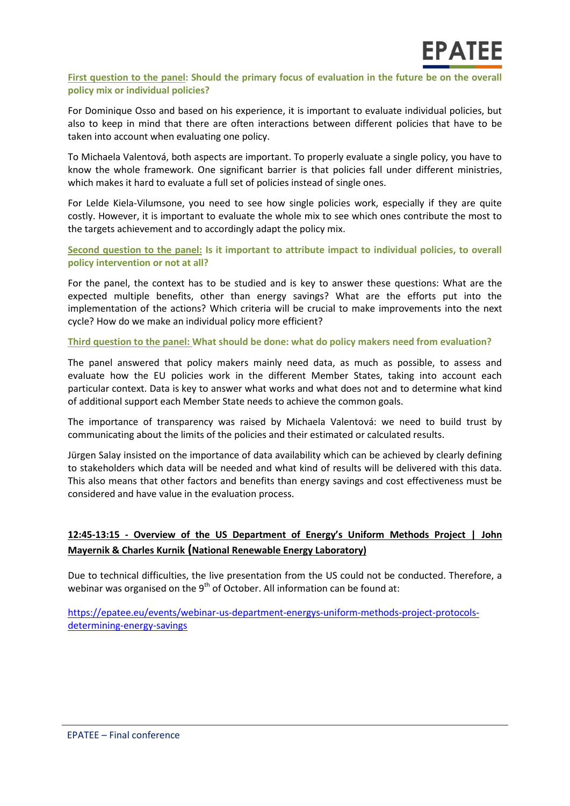### **First question to the panel: Should the primary focus of evaluation in the future be on the overall policy mix or individual policies?**

For Dominique Osso and based on his experience, it is important to evaluate individual policies, but also to keep in mind that there are often interactions between different policies that have to be taken into account when evaluating one policy.

To Michaela Valentová, both aspects are important. To properly evaluate a single policy, you have to know the whole framework. One significant barrier is that policies fall under different ministries, which makes it hard to evaluate a full set of policies instead of single ones.

For Lelde Kiela-Vilumsone, you need to see how single policies work, especially if they are quite costly. However, it is important to evaluate the whole mix to see which ones contribute the most to the targets achievement and to accordingly adapt the policy mix.

**Second question to the panel: Is it important to attribute impact to individual policies, to overall policy intervention or not at all?**

For the panel, the context has to be studied and is key to answer these questions: What are the expected multiple benefits, other than energy savings? What are the efforts put into the implementation of the actions? Which criteria will be crucial to make improvements into the next cycle? How do we make an individual policy more efficient?

**Third question to the panel: What should be done: what do policy makers need from evaluation?**

The panel answered that policy makers mainly need data, as much as possible, to assess and evaluate how the EU policies work in the different Member States, taking into account each particular context. Data is key to answer what works and what does not and to determine what kind of additional support each Member State needs to achieve the common goals.

The importance of transparency was raised by Michaela Valentová: we need to build trust by communicating about the limits of the policies and their estimated or calculated results.

Jürgen Salay insisted on the importance of data availability which can be achieved by clearly defining to stakeholders which data will be needed and what kind of results will be delivered with this data. This also means that other factors and benefits than energy savings and cost effectiveness must be considered and have value in the evaluation process.

# **12:45-13:15 - Overview of the US Department of Energy's Uniform Methods Project | John Mayernik & Charles Kurnik (National Renewable Energy Laboratory)**

Due to technical difficulties, the live presentation from the US could not be conducted. Therefore, a webinar was organised on the  $9<sup>th</sup>$  of October. All information can be found at:

[https://epatee.eu/events/webinar-us-department-energys-uniform-methods-project-protocols](https://epatee.eu/events/webinar-us-department-energys-uniform-methods-project-protocols-determining-energy-savings)[determining-energy-savings](https://epatee.eu/events/webinar-us-department-energys-uniform-methods-project-protocols-determining-energy-savings)